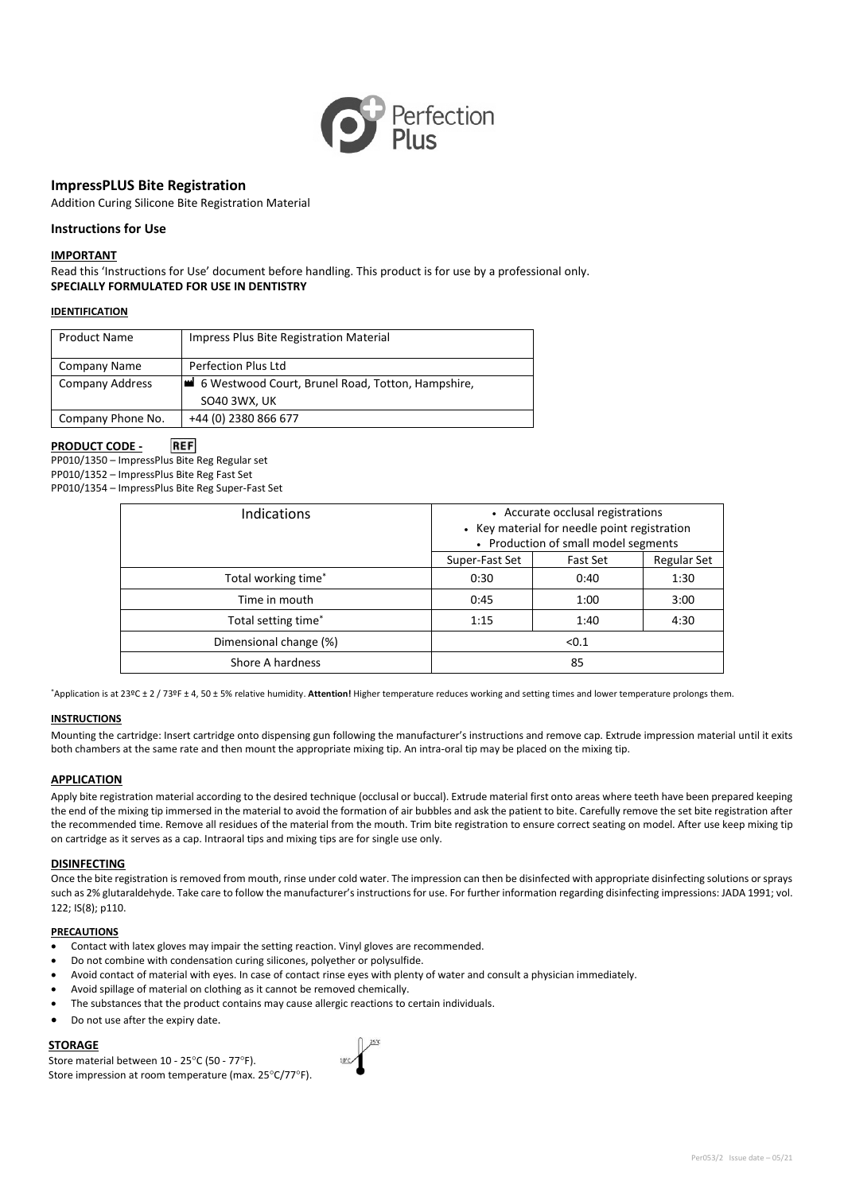

# **ImpressPLUS Bite Registration**

Addition Curing Silicone Bite Registration Material

# **Instructions for Use**

# **IMPORTANT**

Read this 'Instructions for Use' document before handling. This product is for use by a professional only. **SPECIALLY FORMULATED FOR USE IN DENTISTRY**

### **IDENTIFICATION**

| <b>Product Name</b> | Impress Plus Bite Registration Material                           |
|---------------------|-------------------------------------------------------------------|
| <b>Company Name</b> | <b>Perfection Plus Ltd</b>                                        |
| Company Address     | 6 Westwood Court, Brunel Road, Totton, Hampshire,<br>SO40 3WX, UK |
| Company Phone No.   | +44 (0) 2380 866 677                                              |

#### **PRODUCT CODE - REF**

PP010/1350 – ImpressPlus Bite Reg Regular set PP010/1352 – ImpressPlus Bite Reg Fast Set PP010/1354 – ImpressPlus Bite Reg Super-Fast Set

| Indications                     | • Accurate occlusal registrations<br>• Key material for needle point registration<br>• Production of small model segments |                 |                    |
|---------------------------------|---------------------------------------------------------------------------------------------------------------------------|-----------------|--------------------|
|                                 | Super-Fast Set                                                                                                            | <b>Fast Set</b> | <b>Regular Set</b> |
| Total working time <sup>*</sup> | 0:30                                                                                                                      | 0:40            | 1:30               |
| Time in mouth                   | 0:45                                                                                                                      | 1:00            | 3:00               |
| Total setting time*             | 1:15                                                                                                                      | 1:40            | 4:30               |
| Dimensional change (%)          |                                                                                                                           | < 0.1           |                    |
| Shore A hardness                |                                                                                                                           | 85              |                    |

\*Application is at 23ºC ± 2 / 73ºF ± 4, 50 ± 5% relative humidity. **Attention!** Higher temperature reduces working and setting times and lower temperature prolongs them.

### **INSTRUCTIONS**

Mounting the cartridge: Insert cartridge onto dispensing gun following the manufacturer's instructions and remove cap. Extrude impression material until it exits both chambers at the same rate and then mount the appropriate mixing tip. An intra-oral tip may be placed on the mixing tip.

### **APPLICATION**

Apply bite registration material according to the desired technique (occlusal or buccal). Extrude material first onto areas where teeth have been prepared keeping the end of the mixing tip immersed in the material to avoid the formation of air bubbles and ask the patient to bite. Carefully remove the set bite registration after the recommended time. Remove all residues of the material from the mouth. Trim bite registration to ensure correct seating on model. After use keep mixing tip on cartridge as it serves as a cap. Intraoral tips and mixing tips are for single use only.

### **DISINFECTING**

Once the bite registration is removed from mouth, rinse under cold water. The impression can then be disinfected with appropriate disinfecting solutions or sprays such as 2% glutaraldehyde. Take care to follow the manufacturer's instructions for use. For further information regarding disinfecting impressions: JADA 1991; vol. 122; IS(8); p110.

#### **PRECAUTIONS**

- Contact with latex gloves may impair the setting reaction. Vinyl gloves are recommended.
- Do not combine with condensation curing silicones, polyether or polysulfide.
- Avoid contact of material with eyes. In case of contact rinse eyes with plenty of water and consult a physician immediately.
- Avoid spillage of material on clothing as it cannot be removed chemically.
- The substances that the product contains may cause allergic reactions to certain individuals.
- Do not use after the expiry date.

# **STORAGE**

Store material between 10 - 25°C (50 - 77°F). Store impression at room temperature (max. 25°C/77°F).